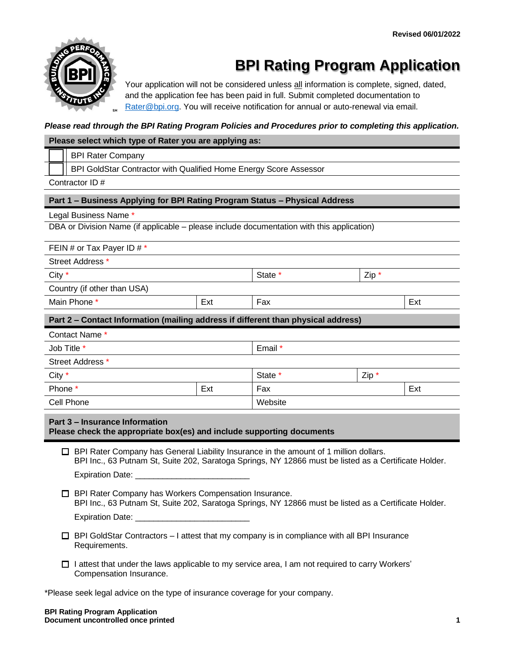

# **BPI Rating Program Application**

Your application will not be considered unless all information is complete, signed, dated, and the application fee has been paid in full. Submit completed documentation to [Rater@bpi.org.](mailto:Rater@bpi.org) You will receive notification for annual or auto-renewal via email.

#### *Please read through the BPI Rating Program Policies and Procedures prior to completing this application.*

#### **Please select which type of Rater you are applying as:**

BPI Rater Company

BPI GoldStar Contractor with Qualified Home Energy Score Assessor

Contractor ID #

#### **Part 1 – Business Applying for BPI Rating Program Status – Physical Address**

Legal Business Name \*

DBA or Division Name (if applicable – please include documentation with this application)

FEIN # or Tax Payer ID  $# *$ 

Street Address \*

| City $*$                    |     | State * | $Zip *$ |     |
|-----------------------------|-----|---------|---------|-----|
| Country (if other than USA) |     |         |         |     |
| Main Phone *                | Ext | Fax     |         | Ext |

**Part 2 – Contact Information (mailing address if different than physical address)**

| Contact Name *   |     |         |         |     |
|------------------|-----|---------|---------|-----|
| Job Title *      |     | Email * |         |     |
| Street Address * |     |         |         |     |
| City $*$         |     | State * | $Zip *$ |     |
| Phone *          | Ext | Fax     |         | Ext |
| Cell Phone       |     | Website |         |     |

**Part 3 – Insurance Information**

|  | Please check the appropriate box(es) and include supporting documents |
|--|-----------------------------------------------------------------------|
|--|-----------------------------------------------------------------------|

 $\Box$  BPI Rater Company has General Liability Insurance in the amount of 1 million dollars. BPI Inc., 63 Putnam St, Suite 202, Saratoga Springs, NY 12866 must be listed as a Certificate Holder. Expiration Date:

- □ BPI Rater Company has Workers Compensation Insurance. BPI Inc., 63 Putnam St, Suite 202, Saratoga Springs, NY 12866 must be listed as a Certificate Holder. Expiration Date:
- $\Box$  BPI GoldStar Contractors I attest that my company is in compliance with all BPI Insurance Requirements.
- $\Box$  I attest that under the laws applicable to my service area, I am not required to carry Workers' Compensation Insurance.

\*Please seek legal advice on the type of insurance coverage for your company.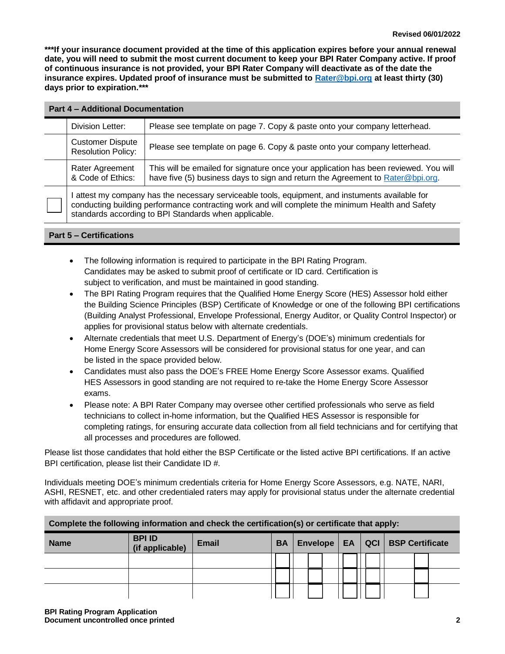**\*\*\*If your insurance document provided at the time of this application expires before your annual renewal date, you will need to submit the most current document to keep your BPI Rater Company active. If proof of continuous insurance is not provided, your BPI Rater Company will deactivate as of the date the insurance expires. Updated proof of insurance must be submitted to [Rater@bpi.org](mailto:Rater@bpi.org) at least thirty (30) days prior to expiration.\*\*\*** 

| <b>Part 4 - Additional Documentation</b>                                                                                                                                                                                                                    |                                                                                                                                                                        |  |  |  |
|-------------------------------------------------------------------------------------------------------------------------------------------------------------------------------------------------------------------------------------------------------------|------------------------------------------------------------------------------------------------------------------------------------------------------------------------|--|--|--|
| Division Letter:                                                                                                                                                                                                                                            | Please see template on page 7. Copy & paste onto your company letterhead.                                                                                              |  |  |  |
| <b>Customer Dispute</b><br><b>Resolution Policy:</b>                                                                                                                                                                                                        | Please see template on page 6. Copy & paste onto your company letterhead.                                                                                              |  |  |  |
| Rater Agreement<br>& Code of Ethics:                                                                                                                                                                                                                        | This will be emailed for signature once your application has been reviewed. You will<br>have five (5) business days to sign and return the Agreement to Rater@bpi.org. |  |  |  |
| attest my company has the necessary serviceable tools, equipment, and instuments available for<br>conducting building performance contracting work and will complete the minimum Health and Safety<br>standards according to BPI Standards when applicable. |                                                                                                                                                                        |  |  |  |

# **Part 5 – Certifications**

- The following information is required to participate in the BPI Rating Program. Candidates may be asked to submit proof of certificate or ID card. Certification is subject to verification, and must be maintained in good standing.
- The BPI Rating Program requires that the Qualified Home Energy Score (HES) Assessor hold either the Building Science Principles (BSP) Certificate of Knowledge or one of the following BPI certifications (Building Analyst Professional, Envelope Professional, Energy Auditor, or Quality Control Inspector) or applies for provisional status below with alternate credentials.
- Alternate credentials that meet U.S. Department of Energy's (DOE's) minimum credentials for Home Energy Score Assessors will be considered for provisional status for one year, and can be listed in the space provided below.
- Candidates must also pass the DOE's FREE Home Energy Score Assessor exams. Qualified HES Assessors in good standing are not required to re-take the Home Energy Score Assessor exams.
- Please note: A BPI Rater Company may oversee other certified professionals who serve as field technicians to collect in-home information, but the Qualified HES Assessor is responsible for completing ratings, for ensuring accurate data collection from all field technicians and for certifying that all processes and procedures are followed.

Please list those candidates that hold either the BSP Certificate or the listed active BPI certifications. If an active BPI certification, please list their Candidate ID #.

Individuals meeting DOE's minimum credentials criteria for Home Energy Score Assessors, e.g. NATE, NARI, ASHI, RESNET, etc. and other credentialed raters may apply for provisional status under the alternate credential with affidavit and appropriate proof.

| Complete the following information and check the certification(s) or certificate that apply: |                                  |       |                                                    |  |  |  |  |
|----------------------------------------------------------------------------------------------|----------------------------------|-------|----------------------------------------------------|--|--|--|--|
| <b>Name</b>                                                                                  | <b>BPI ID</b><br>(if applicable) | Email | Envelope   EA   QCI   BSP Certificate<br><b>BA</b> |  |  |  |  |
|                                                                                              |                                  |       |                                                    |  |  |  |  |
|                                                                                              |                                  |       |                                                    |  |  |  |  |
|                                                                                              |                                  |       |                                                    |  |  |  |  |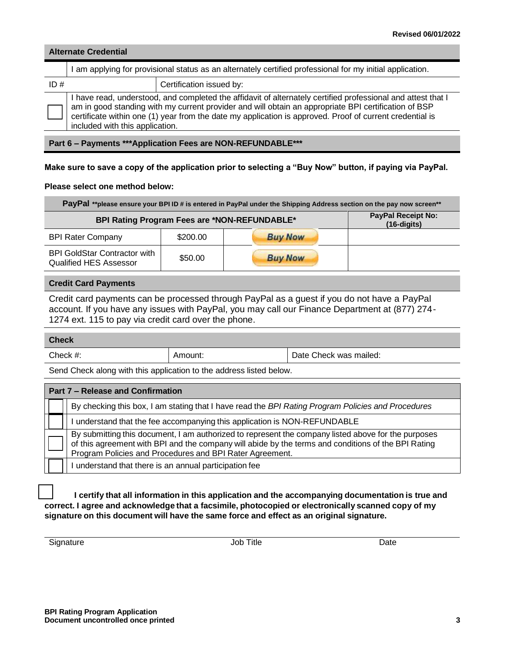#### **Alternate Credential**

|     | I am applying for provisional status as an alternately certified professional for my initial application. |                                                                                                                                                                                                                                                                                                                                  |  |  |  |
|-----|-----------------------------------------------------------------------------------------------------------|----------------------------------------------------------------------------------------------------------------------------------------------------------------------------------------------------------------------------------------------------------------------------------------------------------------------------------|--|--|--|
| ID# | Certification issued by:                                                                                  |                                                                                                                                                                                                                                                                                                                                  |  |  |  |
|     | included with this application.                                                                           | I have read, understood, and completed the affidavit of alternately certified professional and attest that I<br>am in good standing with my current provider and will obtain an appropriate BPI certification of BSP<br>certificate within one (1) year from the date my application is approved. Proof of current credential is |  |  |  |

**Part 6 – Payments \*\*\*Application Fees are NON-REFUNDABLE\*\*\***

#### **Make sure to save a copy of the application prior to selecting a "Buy Now" button, if paying via PayPal.**

#### **Please select one method below:**

| PayPal **please ensure your BPI ID # is entered in PayPal under the Shipping Address section on the pay now screen** |                                            |                |  |  |
|----------------------------------------------------------------------------------------------------------------------|--------------------------------------------|----------------|--|--|
| BPI Rating Program Fees are *NON-REFUNDABLE*                                                                         | <b>PayPal Receipt No:</b><br>$(16-digits)$ |                |  |  |
| <b>BPI Rater Company</b>                                                                                             | \$200.00                                   | <b>Buy Now</b> |  |  |
| <b>BPI GoldStar Contractor with</b><br><b>Qualified HES Assessor</b>                                                 | \$50.00                                    | <b>Buy Now</b> |  |  |

#### **Credit Card Payments**

Credit card payments can be processed through PayPal as a guest if you do not have a PayPal account. If you have any issues with PayPal, you may call our Finance Department at (877) 274- 1274 ext. 115 to pay via credit card over the phone.

#### **Check**

| $Check$ #. | \mount: | -<br>Check was mailed:<br>Date |
|------------|---------|--------------------------------|

Send Check along with this application to the address listed below.

| Part 7 – Release and Confirmation                                                                                                                                                                                                                                      |
|------------------------------------------------------------------------------------------------------------------------------------------------------------------------------------------------------------------------------------------------------------------------|
| By checking this box, I am stating that I have read the BPI Rating Program Policies and Procedures                                                                                                                                                                     |
| understand that the fee accompanying this application is NON-REFUNDABLE                                                                                                                                                                                                |
| By submitting this document, I am authorized to represent the company listed above for the purposes<br>of this agreement with BPI and the company will abide by the terms and conditions of the BPI Rating<br>Program Policies and Procedures and BPI Rater Agreement. |
| understand that there is an annual participation fee                                                                                                                                                                                                                   |

**I certify that all information in this application and the accompanying documentation is true and correct. I agree and acknowledge that a facsimile, photocopied or electronically scanned copy of my signature on this document will have the same force and effect as an original signature.**

Signature Date Date Date of the Society of the United States of Date Date Date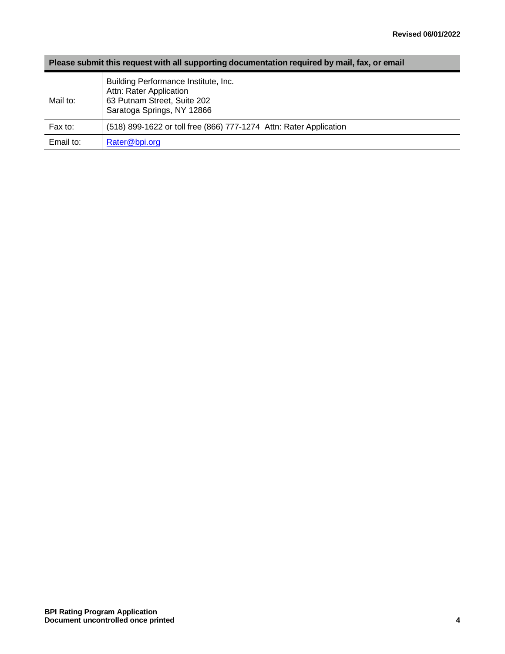# **Please submit this request with all supporting documentation required by mail, fax, or email**

| Mail to:  | Building Performance Institute, Inc.<br>Attn: Rater Application<br>63 Putnam Street, Suite 202<br>Saratoga Springs, NY 12866 |
|-----------|------------------------------------------------------------------------------------------------------------------------------|
| Fax to:   | (518) 899-1622 or toll free (866) 777-1274 Attn: Rater Application                                                           |
| Email to: | Rater@bpi.org                                                                                                                |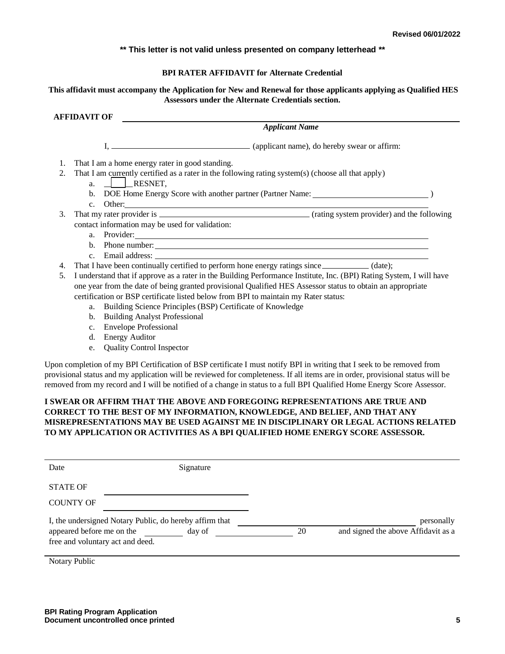#### **\*\* This letter is not valid unless presented on company letterhead \*\***

#### **BPI RATER AFFIDAVIT for Alternate Credential**

#### **This affidavit must accompany the Application for New and Renewal for those applicants applying as Qualified HES Assessors under the Alternate Credentials section.**

#### **AFFIDAVIT OF**

*Applicant Name*

I, (applicant name), do hereby swear or affirm:

- 1. That I am a home energy rater in good standing.
- 2. That I am currently certified as a rater in the following rating system(s) (choose all that apply)
	- a.  $|$  RESNET.
	- b. DOE Home Energy Score with another partner (Partner Name: )
	- c. Other:
- 3. That my rater provider is (rating system provider) and the following contact information may be used for validation:
	- a. Provider:
	- b. Phone number:
	- c. Email address:
- 4. That I have been continually certified to perform hone energy ratings since \_\_\_\_\_\_\_\_\_\_\_\_ (date):
- 5. I understand that if approve as a rater in the Building Performance Institute, Inc. (BPI) Rating System, I will have one year from the date of being granted provisional Qualified HES Assessor status to obtain an appropriate certification or BSP certificate listed below from BPI to maintain my Rater status:
	- a. Building Science Principles (BSP) Certificate of Knowledge
	- b. Building Analyst Professional
	- c. Envelope Professional
	- d. Energy Auditor
	- e. Quality Control Inspector

Upon completion of my BPI Certification of BSP certificate I must notify BPI in writing that I seek to be removed from provisional status and my application will be reviewed for completeness. If all items are in order, provisional status will be removed from my record and I will be notified of a change in status to a full BPI Qualified Home Energy Score Assessor.

# **I SWEAR OR AFFIRM THAT THE ABOVE AND FOREGOING REPRESENTATIONS ARE TRUE AND CORRECT TO THE BEST OF MY INFORMATION, KNOWLEDGE, AND BELIEF, AND THAT ANY MISREPRESENTATIONS MAY BE USED AGAINST ME IN DISCIPLINARY OR LEGAL ACTIONS RELATED TO MY APPLICATION OR ACTIVITIES AS A BPI QUALIFIED HOME ENERGY SCORE ASSESSOR.**

| Date                                                                                                                     | Signature |    |                                                   |
|--------------------------------------------------------------------------------------------------------------------------|-----------|----|---------------------------------------------------|
| <b>STATE OF</b><br><b>COUNTY OF</b>                                                                                      |           |    |                                                   |
| I, the undersigned Notary Public, do hereby affirm that<br>appeared before me on the<br>free and voluntary act and deed. | day of    | 20 | personally<br>and signed the above Affidavit as a |

Notary Public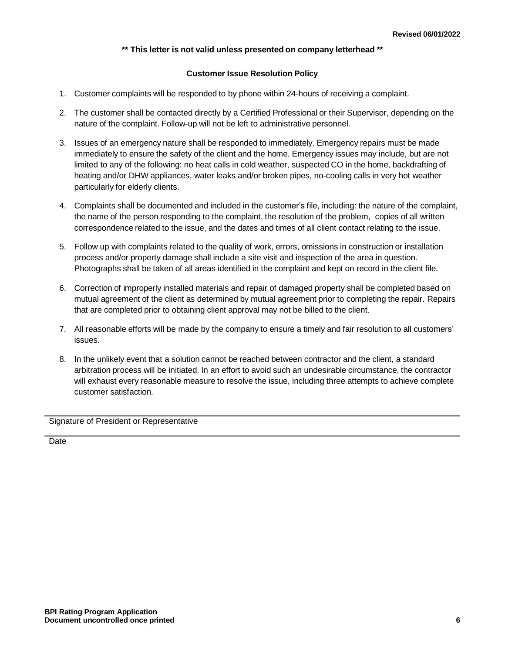# **\*\* This letter is not valid unless presented on company letterhead \*\***

# **Customer Issue Resolution Policy**

- 1. Customer complaints will be responded to by phone within 24-hours of receiving a complaint.
- 2. The customer shall be contacted directly by a Certified Professional or their Supervisor, depending on the nature of the complaint. Follow-up will not be left to administrative personnel.
- 3. Issues of an emergency nature shall be responded to immediately. Emergency repairs must be made immediately to ensure the safety of the client and the home. Emergency issues may include, but are not limited to any of the following: no heat calls in cold weather, suspected CO in the home, backdrafting of heating and/or DHW appliances, water leaks and/or broken pipes, no-cooling calls in very hot weather particularly for elderly clients.
- 4. Complaints shall be documented and included in the customer's file, including: the nature of the complaint, the name of the person responding to the complaint, the resolution of the problem, copies of all written correspondence related to the issue, and the dates and times of all client contact relating to the issue.
- 5. Follow up with complaints related to the quality of work, errors, omissions in construction or installation process and/or property damage shall include a site visit and inspection of the area in question. Photographs shall be taken of all areas identified in the complaint and kept on record in the client file.
- 6. Correction of improperly installed materials and repair of damaged property shall be completed based on mutual agreement of the client as determined by mutual agreement prior to completing the repair. Repairs that are completed prior to obtaining client approval may not be billed to the client.
- 7. All reasonable efforts will be made by the company to ensure a timely and fair resolution to all customers' issues.
- 8. In the unlikely event that a solution cannot be reached between contractor and the client, a standard arbitration process will be initiated. In an effort to avoid such an undesirable circumstance, the contractor will exhaust every reasonable measure to resolve the issue, including three attempts to achieve complete customer satisfaction.

Signature of President or Representative

**Date**